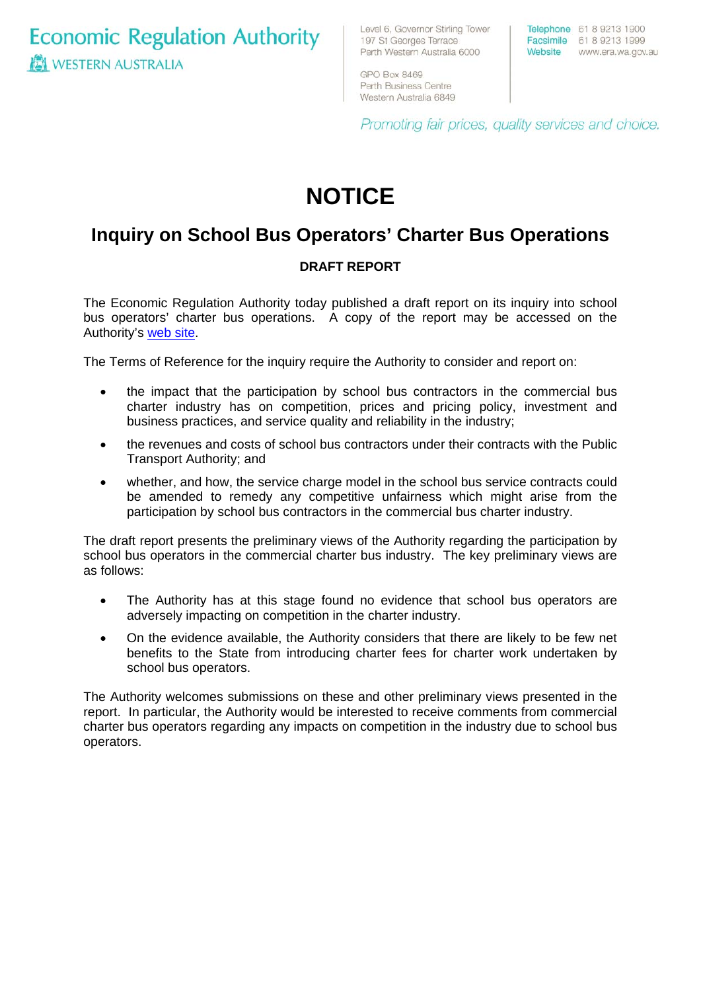**Economic Regulation Authority WESTERN AUSTRALIA** 

Level 6, Governor Stirling Tower 197 St Georges Terrace Perth Western Australia 6000

GPO Box 8469 Perth Business Centre Western Australia 6849 Telephone 61 8 9213 1900 Facsimile 61 8 9213 1999 Website www.era.wa.gov.au

Promoting fair prices, quality services and choice.

# **NOTICE**

## **Inquiry on School Bus Operators' Charter Bus Operations**

### **DRAFT REPORT**

The Economic Regulation Authority today published a draft report on its inquiry into school bus operators' charter bus operations. A copy of the report may be accessed on the Authority's [web site.](http://www.era.wa.gov.au/cproot/5565/24874/School%20Buses%20Draft%20Report%20Final%20-%20May%202007.pdf) 

The Terms of Reference for the inquiry require the Authority to consider and report on:

- the impact that the participation by school bus contractors in the commercial bus charter industry has on competition, prices and pricing policy, investment and business practices, and service quality and reliability in the industry;
- the revenues and costs of school bus contractors under their contracts with the Public Transport Authority; and
- whether, and how, the service charge model in the school bus service contracts could be amended to remedy any competitive unfairness which might arise from the participation by school bus contractors in the commercial bus charter industry.

The draft report presents the preliminary views of the Authority regarding the participation by school bus operators in the commercial charter bus industry. The key preliminary views are as follows:

- The Authority has at this stage found no evidence that school bus operators are adversely impacting on competition in the charter industry.
- On the evidence available, the Authority considers that there are likely to be few net benefits to the State from introducing charter fees for charter work undertaken by school bus operators.

The Authority welcomes submissions on these and other preliminary views presented in the report. In particular, the Authority would be interested to receive comments from commercial charter bus operators regarding any impacts on competition in the industry due to school bus operators.